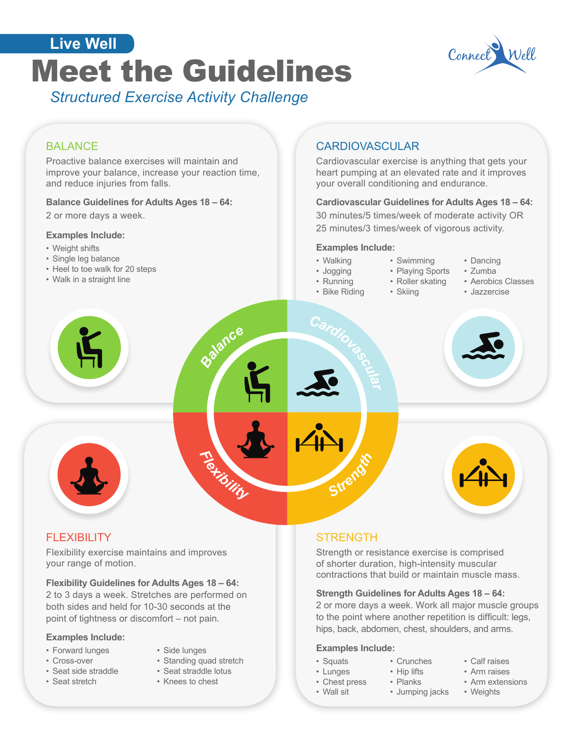



# **BALANCE**

Proactive balance exercises will maintain and improve your balance, increase your reaction time, and reduce injuries from falls.

#### **Balance Guidelines for Adults Ages 18 – 64:**

2 or more days a week.

#### **Examples Include:**

- Weight shifts
- Single leg balance
- Heel to toe walk for 20 steps
- Walk in a straight line

## CARDIOVASCULAR

Cardiovascular exercise is anything that gets your heart pumping at an elevated rate and it improves your overall conditioning and endurance.

#### **Cardiovascular Guidelines for Adults Ages 18 – 64:**

30 minutes/5 times/week of moderate activity OR 25 minutes/3 times/week of vigorous activity.

### **Examples Include:**

• Walking

• Running

- Jogging
- Playing Sports • Roller skating

• Swimming

- Bike Riding • Skiing
- Dancing
- Zumba
- Aerobics Classes
- Jazzercise





## **FLEXIBILITY**

Flexibility exercise maintains and improves your range of motion.

**Flexibility Guidelines for Adults Ages 18 – 64:** 

2 to 3 days a week. Stretches are performed on both sides and held for 10-30 seconds at the point of tightness or discomfort – not pain.

#### **Examples Include:**

- Forward lunges
- Cross-over
- 
- Seat side straddle
- Seat stretch
- Side lunges • Standing quad stretch
- Seat straddle lotus
- 
- Knees to chest

## **STRENGTH**

Strength or resistance exercise is comprised of shorter duration, high-intensity muscular contractions that build or maintain muscle mass.

## **Strength Guidelines for Adults Ages 18 – 64:**

2 or more days a week. Work all major muscle groups to the point where another repetition is difficult: legs, hips, back, abdomen, chest, shoulders, and arms.

#### **Examples Include:**

- Squats
- Lunges
- Chest press
- Wall sit
- Arm raises

• Calf raises

- Arm extensions
- Weights
- Planks • Jumping jacks

• Crunches • Hip lifts